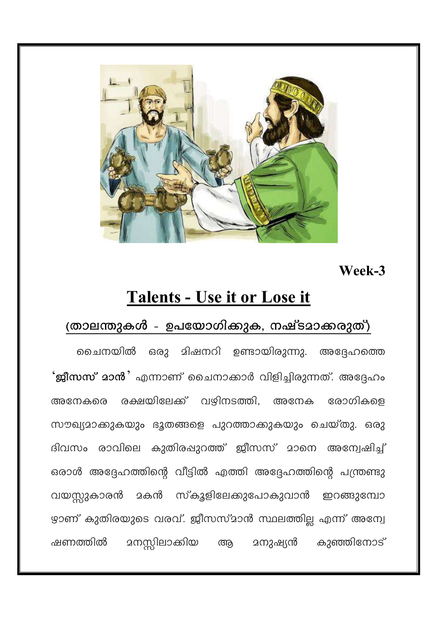

### Week-3

# Talents - Use it or Lose it

## (താലന്തുകൾ - ഉപയോഗിക്കുക, നഷ്ടമാക്കരുത്)

ചൈനയിൽ ഒരു മിഷനറി ഉണ്ടായിരുന്നു. അദ്ദേഹത്തെ **'ജീസസ്' മാൻ '** എന്നാണ്' ചൈനാക്കാർ വിളിച്ചിരുന്നത്. അദ്ദേഹം അനേകരെ രക്ഷയിലേക്ക് വഴിനടത്തി, അനേക രോഗികളെ സൗഖ്യമാക്കുകയും ഭൂതങ്ങളെ പുറത്താക്കുകയും ചെയ്തു. ഒരു ദിവസം രാവിലെ കുതിരപ്പുറത്ത് ജീസസ് മാനെ അന്വേഷിച്ച് ഒരാൾ അദ്ദേഹത്തിന്റെ വീട്ടിൽ എത്തി അദ്ദേഹത്തിന്റെ പന്ത്രണ്ടു വയസ്റ്റുകാരൻ മകൻ സ്കൂളിലേക്കുപോകുവാൻ ഇറങ്ങുമ്പോ ഴ്യാണ് കുതിരയുടെ വരവ്. ജീസസ്മാൻ സ്ഥലത്തില്ല എന്ന് അന്വേ മനസ്സിലാക്കിയ <u> ദനുഷ്യൻ കുഞ്ഞിനോട്</u> ഷണത്തിൽ ആ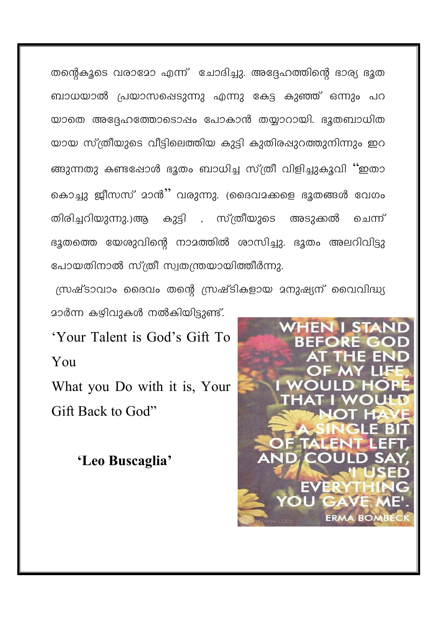തന്റെകുടെ വരാമോ എന്ന് ചോദിച്ചു. അദ്ദേഹത്തിന്റെ ഭാര്യ ഭൂത ബാധയാൽ പ്രയാസപ്പെടുന്നു എന്നു കേട്ട കുഞ്ഞ് ഒന്നും പറ യാതെ അദ്ദേഹത്തോടൊഷം പോകാൻ തയ്യാറായി. ഭുതബാധിത യായ സ്ത്രീയുടെ വീട്ടിലെത്തിയ കുട്ടി കുതിരഷുറത്തുനിന്നും ഇറ ങ്ങുന്നതു കണ്ടപ്പോൾ ഭൂതം ബാധിച്ച സ്ത്രീ വിളിച്ചുകൂവി ''ഇതാ കൊച്ചു ജീസസ് മാൻ'' വരുന്നു. (ദൈവമക്കളെ ഭൂതങ്ങൾ വേഗം കുട്ടി , സ്ത്രീയുടെ തിരിച്ചറിയുന്നു.)ആ അടുക്കൽ ചെന്ന് ഭൂതത്തെ യേശുവിന്റെ നാമത്തിൽ ശാസിച്ചു. ഭൂതം അലറിവിട്ടു പോയതിനാൽ സ്ത്രീ സ്വതന്ത്രയായിത്തീർന്നു.

സ്രഷ്ടാവാം ദൈവം തന്റെ സ്രഷ്ടികളായ മനുഷ്യന് വൈവിദ്ധ്യ മാർന്ന കഴിവുകൾ നൽകിയിട്ടുണ്ട്.

'Your Talent is God's Gift To You

What you Do with it is, Your Gift Back to God"

'Leo Buscaglia'

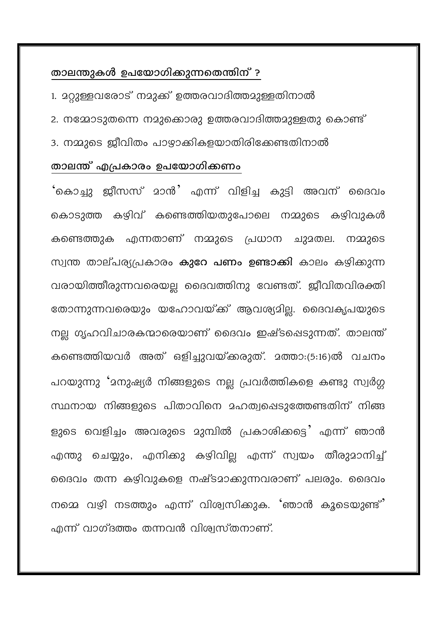#### താലന്തുകൾ ഉപയോഗിക്കുന്നതെന്തിന് ?

- 1. മറ്റുള്ളവരോട് നമുക്ക് ഉത്തരവാദിത്തമുള്ളതിനാൽ
- 2. നമ്മോടുതന്നെ നമുക്കൊരു ഉത്തരവാദിത്തമുള്ളതു കൊണ്ട്
- 3. നമ്മുടെ ജീവിതം പാഴാക്കികളയാതിരിക്കേണ്ടതിനാൽ

#### താലന്ത് എപ്രകാരം ഉപയോഗിക്കണം

'കൊച്ചു ജീസസ് മാൻ' എന്ന് വിളിച്ച കുട്ടി അവന് ദൈവം കൊടുത്ത കഴിവ് കണ്ടെത്തിയതുപോലെ നമ്മുടെ കഴിവുകൾ കണ്ടെത്തുക എന്നതാണ് നമ്മുടെ പ്രധാന ചുമതല. നമ്മുടെ സ്വന്ത താല്പര്യപ്രകാരം കുറേ പണം ഉണ്ടാക്കി കാലം കഴിക്കുന്ന വരായിത്തീരുന്നവരെയല്ല ദൈവത്തിനു വേണ്ടത്. ജീവിതവിരക്തി തോന്നുന്നവരെയും യഹോവയ്ക്ക് ആവശ്യമില്ല. ദൈവകൃപയുടെ നല്ല ഗൃഹവിചാരകന്മാരെയാണ് ദൈവം ഇഷ്ടപ്പെടുന്നത്. താലന്ത് കണ്ടെത്തിയവർ അത് ഒളിച്ചുവയ്ക്കരുത്. മത്താ:(5:16)ൽ വചനം പറയുന്നു 'മനുഷ്യർ നിങ്ങളുടെ നല്ല പ്രവർത്തികളെ കണ്ടു സ്വർഗ്ഗ സ്ഥനായ നിങ്ങളുടെ പിതാവിനെ മഹത്വപ്പെടുത്തേണ്ടതിന് നിങ്ങ ളുടെ വെളിച്ചം അവരുടെ മുമ്പിൽ പ്രകാശിക്കട്ടെ എന്ന് ഞാൻ എന്തു ചെയ്യും, എനിക്കു കഴിവില്ല എന്ന് സ്വയം തീരുമാനിച്ച് ദൈവം തന്ന കഴിവുകളെ നഷ്ടമാക്കുന്നവരാണ് പലരും. ദൈവം നമ്മെ വഴി നടത്തും എന്ന് വിശ്വസിക്കുക. 'ഞാൻ കൂടെയുണ്ട്' എന്ന് വാഗ്ദത്തം തന്നവൻ വിശ്വസ്തനാണ്.